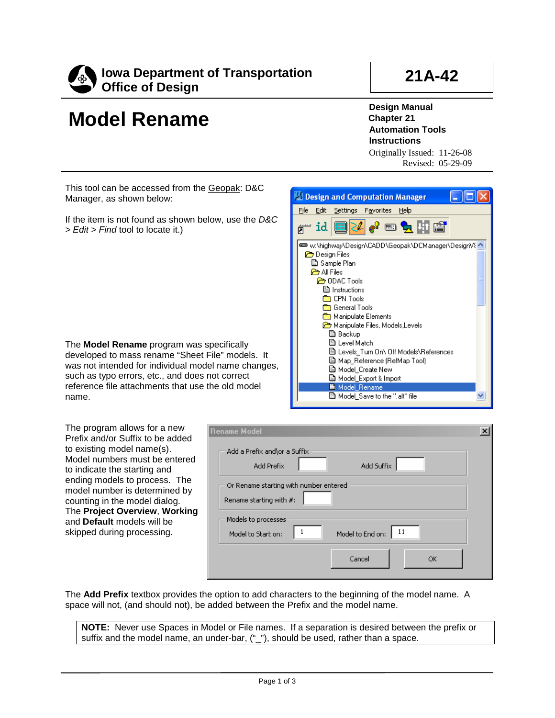

## **Model Rename**

**21A-42**

**Design Manual Chapter 21 Automation Tools Instructions** Originally Issued: 11-26-08

 $\alpha$  of  $\mathbf{h}$  of

w:\highway\Design\CADD\Geopak\DCManager\DesignV{ ^ |

E Levels Turn On\ Off Models\References

Revised: 05-29-09

This tool can be accessed from the Geopak: D&C Manager, as shown below:

If the item is not found as shown below, use the *D&C > Edit > Find* tool to locate it.)

The **Model Rename** program was specifically developed to mass rename "Sheet File" models. It was not intended for individual model such as typo errors, etc., and does not reference file attachments that use the name.

The program allows for a new Prefix and/or Suffix to be added to existing model name(s). Model numbers must be entered to indicate the starting and ending models to process. The model number is determined by counting in the model dialog. The **Project Overview**, **Working** and **Default** models will be skipped during processing.

| c IIIvucio. Il<br>name changes,<br>t correct<br>e old model                                                     | 圖 Map_Reference (RefMap Tool)<br><b>圖 Model Create New</b><br>■ Model_Export & Import<br>■ Model_Rename<br>圖 Model_Save to the ".alt" file |              |  |
|-----------------------------------------------------------------------------------------------------------------|--------------------------------------------------------------------------------------------------------------------------------------------|--------------|--|
| ename Model                                                                                                     |                                                                                                                                            | $\mathbf{x}$ |  |
| Add a Prefix and\or a Suffix<br>Add Prefix<br>Or Rename starting with number entered<br>Rename starting with #: | Add Suffix                                                                                                                                 |              |  |
| Models to processes<br>Model to Start on:                                                                       | 11<br>1<br>Model to End on:                                                                                                                |              |  |
|                                                                                                                 | Cancel<br>ОК                                                                                                                               |              |  |

**Design and Computation Manager** File Edit Settings Favorites Help

 $\overline{\mathbb{R}}$  id

**Design Files B** Sample Plan **O** All Files **C** ODAC Tools **A** Instructions **CPN Tools Condensity** General Tools **Read Manipulate Elements** Manipulate Files, Models, Levels

> **③ Backup B** Level Match

The **Add Prefix** textbox provides the option to add characters to the beginning of the model name. A space will not, (and should not), be added between the Prefix and the model name.

**NOTE:** Never use Spaces in Model or File names. If a separation is desired between the prefix or suffix and the model name, an under-bar, ("\_"), should be used, rather than a space.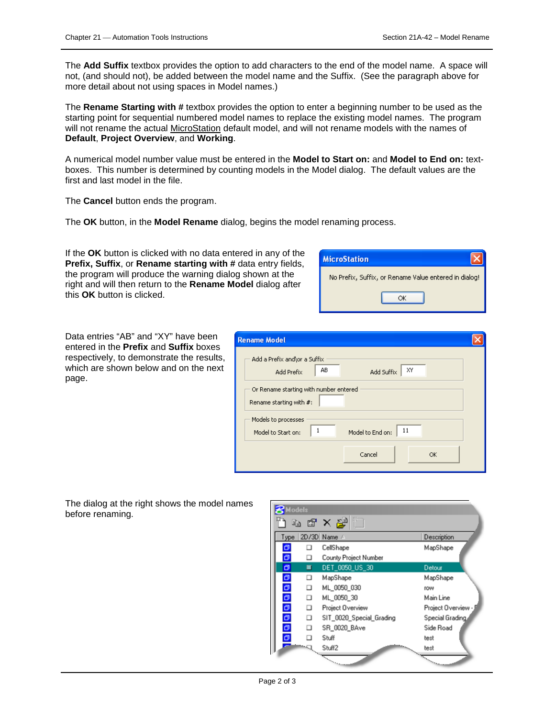The **Add Suffix** textbox provides the option to add characters to the end of the model name. A space will not, (and should not), be added between the model name and the Suffix. (See the paragraph above for more detail about not using spaces in Model names.)

The **Rename Starting with #** textbox provides the option to enter a beginning number to be used as the starting point for sequential numbered model names to replace the existing model names. The program will not rename the actual <u>MicroStation</u> default model, and will not rename models with the names of **Default**, **Project Overview**, and **Working**.

A numerical model number value must be entered in the **Model to Start on:** and **Model to End on:** textboxes. This number is determined by counting models in the Model dialog. The default values are the first and last model in the file.

The **Cancel** button ends the program.

The **OK** button, in the **Model Rename** dialog, begins the model renaming process.

If the **OK** button is clicked with no data entered in any of the **Prefix, Suffix**, or **Rename starting with #** data entry fields, the program will produce the warning dialog shown at the right and will then return to the **Rename Model** dialog after this **OK** button is clicked.



Data entries "AB" and "XY" have been entered in the **Prefix** and **Suffix** boxes respectively, to demonstrate the results, which are shown below and on the next page.

| <b>Rename Model</b>                                                   |  |
|-----------------------------------------------------------------------|--|
| Add a Prefix and\or a Suffix<br>AB.<br>X٧<br>Add Suffix<br>Add Prefix |  |
| Or Rename starting with number entered<br>Rename starting with #:     |  |
| Models to processes<br>11<br>Model to End on:<br>Model to Start on:   |  |
| Cancel<br><b>OK</b>                                                   |  |

The dialog at the right shows the model names before renaming.

| $\mathbfcal{B}$ Models |        | 电雷×岸                                                                                                                                                                                                                           |                          |
|------------------------|--------|--------------------------------------------------------------------------------------------------------------------------------------------------------------------------------------------------------------------------------|--------------------------|
|                        |        | Type 2D/3D Name A                                                                                                                                                                                                              | Description              |
| $\sigma$               |        | CellShape                                                                                                                                                                                                                      | MapShape                 |
| $\sigma$               |        | County Project Number                                                                                                                                                                                                          |                          |
| σ                      | ■      | DET_0050_US_30                                                                                                                                                                                                                 | Detour                   |
|                        | □      | MapShape                                                                                                                                                                                                                       | MapShape                 |
| 00000                  | □      | ML 0050 030                                                                                                                                                                                                                    | <b>TOW</b>               |
|                        | □      | ML 0050 30                                                                                                                                                                                                                     | Main Line                |
|                        | □      | Project Overview                                                                                                                                                                                                               | Project Overview -       |
|                        | $\Box$ | SIT_0020_Special_Grading                                                                                                                                                                                                       | Special Grading,         |
| $\bullet$              | □      | SR_0020_BAve                                                                                                                                                                                                                   | Side Road                |
| ø                      | п      | Stuff                                                                                                                                                                                                                          | test                     |
|                        |        | $\sim$                                                                                                                                                                                                                         | test                     |
|                        |        | and the contract of the contract of the contract of the contract of the contract of the contract of the contract of the contract of the contract of the contract of the contract of the contract of the contract of the contra | $\overline{\phantom{a}}$ |